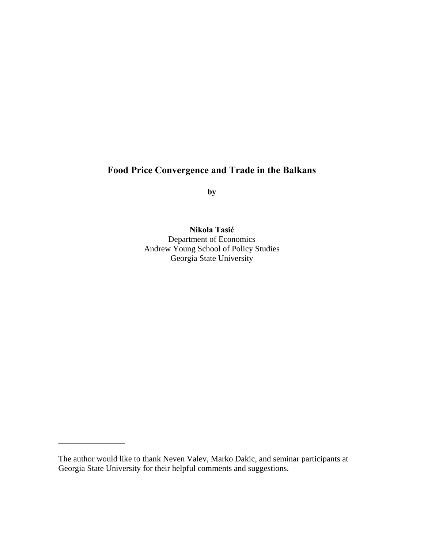# **Food Price Convergence and Trade in the Balkans**

**by** 

**Nikola Tasić**

Department of Economics Andrew Young School of Policy Studies Georgia State University

\_\_\_\_\_\_\_\_\_\_\_\_\_\_\_\_

The author would like to thank Neven Valev, Marko Dakic, and seminar participants at Georgia State University for their helpful comments and suggestions.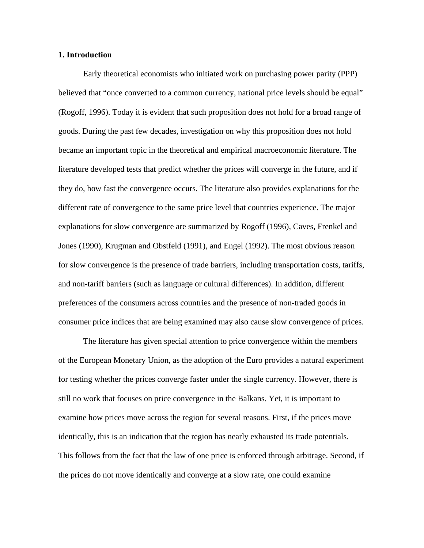#### **1. Introduction**

Early theoretical economists who initiated work on purchasing power parity (PPP) believed that "once converted to a common currency, national price levels should be equal" (Rogoff, 1996). Today it is evident that such proposition does not hold for a broad range of goods. During the past few decades, investigation on why this proposition does not hold became an important topic in the theoretical and empirical macroeconomic literature. The literature developed tests that predict whether the prices will converge in the future, and if they do, how fast the convergence occurs. The literature also provides explanations for the different rate of convergence to the same price level that countries experience. The major explanations for slow convergence are summarized by Rogoff (1996), Caves, Frenkel and Jones (1990), Krugman and Obstfeld (1991), and Engel (1992). The most obvious reason for slow convergence is the presence of trade barriers, including transportation costs, tariffs, and non-tariff barriers (such as language or cultural differences). In addition, different preferences of the consumers across countries and the presence of non-traded goods in consumer price indices that are being examined may also cause slow convergence of prices.

The literature has given special attention to price convergence within the members of the European Monetary Union, as the adoption of the Euro provides a natural experiment for testing whether the prices converge faster under the single currency. However, there is still no work that focuses on price convergence in the Balkans. Yet, it is important to examine how prices move across the region for several reasons. First, if the prices move identically, this is an indication that the region has nearly exhausted its trade potentials. This follows from the fact that the law of one price is enforced through arbitrage. Second, if the prices do not move identically and converge at a slow rate, one could examine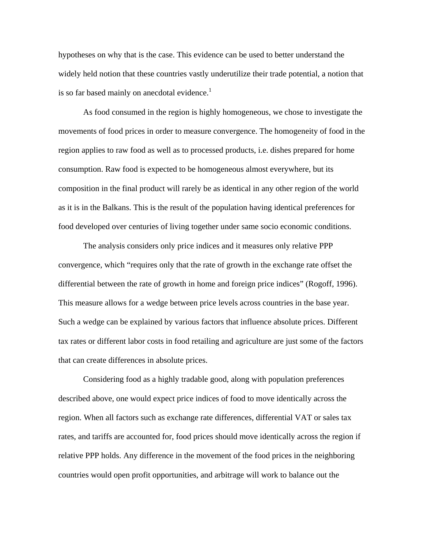hypotheses on why that is the case. This evidence can be used to better understand the widely held notion that these countries vastly underutilize their trade potential, a notion that is so far based mainly on anecdotal evidence.<sup>1</sup>

As food consumed in the region is highly homogeneous, we chose to investigate the movements of food prices in order to measure convergence. The homogeneity of food in the region applies to raw food as well as to processed products, i.e. dishes prepared for home consumption. Raw food is expected to be homogeneous almost everywhere, but its composition in the final product will rarely be as identical in any other region of the world as it is in the Balkans. This is the result of the population having identical preferences for food developed over centuries of living together under same socio economic conditions.

The analysis considers only price indices and it measures only relative PPP convergence, which "requires only that the rate of growth in the exchange rate offset the differential between the rate of growth in home and foreign price indices" (Rogoff, 1996). This measure allows for a wedge between price levels across countries in the base year. Such a wedge can be explained by various factors that influence absolute prices. Different tax rates or different labor costs in food retailing and agriculture are just some of the factors that can create differences in absolute prices.

Considering food as a highly tradable good, along with population preferences described above, one would expect price indices of food to move identically across the region. When all factors such as exchange rate differences, differential VAT or sales tax rates, and tariffs are accounted for, food prices should move identically across the region if relative PPP holds. Any difference in the movement of the food prices in the neighboring countries would open profit opportunities, and arbitrage will work to balance out the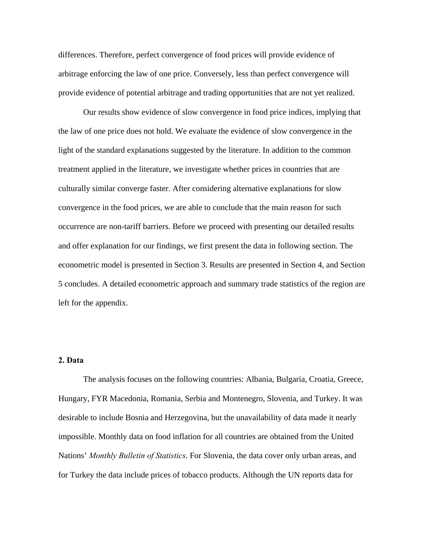differences. Therefore, perfect convergence of food prices will provide evidence of arbitrage enforcing the law of one price. Conversely, less than perfect convergence will provide evidence of potential arbitrage and trading opportunities that are not yet realized.

Our results show evidence of slow convergence in food price indices, implying that the law of one price does not hold. We evaluate the evidence of slow convergence in the light of the standard explanations suggested by the literature. In addition to the common treatment applied in the literature, we investigate whether prices in countries that are culturally similar converge faster. After considering alternative explanations for slow convergence in the food prices, we are able to conclude that the main reason for such occurrence are non-tariff barriers. Before we proceed with presenting our detailed results and offer explanation for our findings, we first present the data in following section. The econometric model is presented in Section 3. Results are presented in Section 4, and Section 5 concludes. A detailed econometric approach and summary trade statistics of the region are left for the appendix.

#### **2. Data**

The analysis focuses on the following countries: Albania, Bulgaria, Croatia, Greece, Hungary, FYR Macedonia, Romania, Serbia and Montenegro, Slovenia, and Turkey. It was desirable to include Bosnia and Herzegovina, but the unavailability of data made it nearly impossible. Monthly data on food inflation for all countries are obtained from the United Nations' *Monthly Bulletin of Statistics*. For Slovenia, the data cover only urban areas, and for Turkey the data include prices of tobacco products. Although the UN reports data for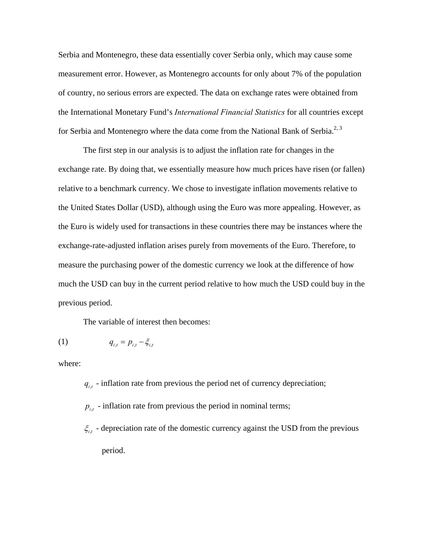Serbia and Montenegro, these data essentially cover Serbia only, which may cause some measurement error. However, as Montenegro accounts for only about 7% of the population of country, no serious errors are expected. The data on exchange rates were obtained from the International Monetary Fund's *International Financial Statistics* for all countries except for Serbia and Montenegro where the data come from the National Bank of Serbia.<sup>2, 3</sup>

The first step in our analysis is to adjust the inflation rate for changes in the exchange rate. By doing that, we essentially measure how much prices have risen (or fallen) relative to a benchmark currency. We chose to investigate inflation movements relative to the United States Dollar (USD), although using the Euro was more appealing. However, as the Euro is widely used for transactions in these countries there may be instances where the exchange-rate-adjusted inflation arises purely from movements of the Euro. Therefore, to measure the purchasing power of the domestic currency we look at the difference of how much the USD can buy in the current period relative to how much the USD could buy in the previous period.

The variable of interest then becomes:

(1) 
$$
q_{i,t} = p_{i,t} - \xi_{i,t}
$$

where:

- $q_{i,t}$  inflation rate from previous the period net of currency depreciation;
- $p_{i,t}$  inflation rate from previous the period in nominal terms;
- $\xi_{i,t}$  depreciation rate of the domestic currency against the USD from the previous period.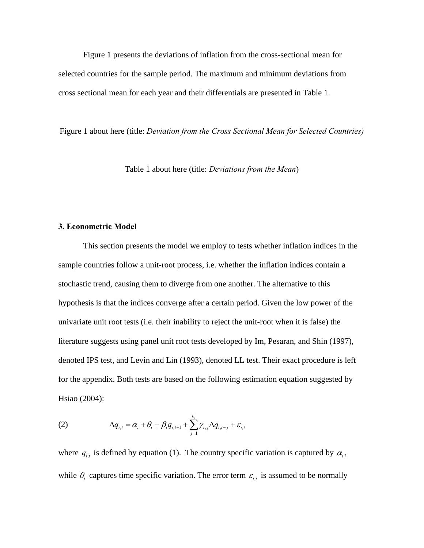Figure 1 presents the deviations of inflation from the cross-sectional mean for selected countries for the sample period. The maximum and minimum deviations from cross sectional mean for each year and their differentials are presented in Table 1.

Figure 1 about here (title: *Deviation from the Cross Sectional Mean for Selected Countries)*

Table 1 about here (title: *Deviations from the Mean*)

#### **3. Econometric Model**

This section presents the model we employ to tests whether inflation indices in the sample countries follow a unit-root process, i.e. whether the inflation indices contain a stochastic trend, causing them to diverge from one another. The alternative to this hypothesis is that the indices converge after a certain period. Given the low power of the univariate unit root tests (i.e. their inability to reject the unit-root when it is false) the literature suggests using panel unit root tests developed by Im, Pesaran, and Shin (1997), denoted IPS test, and Levin and Lin (1993), denoted LL test. Their exact procedure is left for the appendix. Both tests are based on the following estimation equation suggested by Hsiao (2004):

(2) 
$$
\Delta q_{i,t} = \alpha_i + \theta_t + \beta_i q_{i,t-1} + \sum_{j=1}^{k_i} \gamma_{i,j} \Delta q_{i,t-j} + \varepsilon_{i,t}
$$

where  $q_{i,t}$  is defined by equation (1). The country specific variation is captured by  $\alpha_i$ , while  $\theta_t$  captures time specific variation. The error term  $\varepsilon_{i,t}$  is assumed to be normally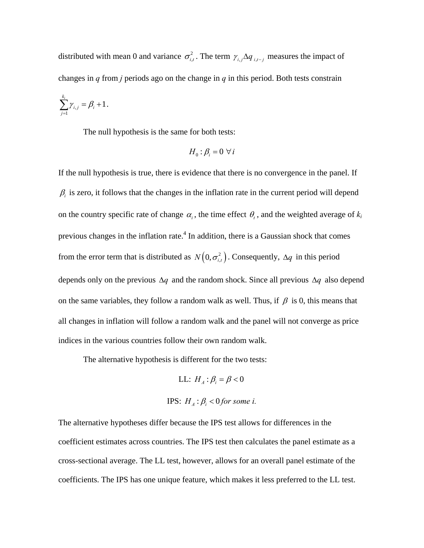distributed with mean 0 and variance  $\sigma_{i,t}^2$ . The term  $\gamma_{i,j} \Delta q_{i,t-j}$  measures the impact of changes in *q* from *j* periods ago on the change in *q* in this period. Both tests constrain

$$
\sum_{j=1}^{k_i} \gamma_{i,j} = \beta_i + 1.
$$

The null hypothesis is the same for both tests:

$$
H_0: \beta_i = 0 \,\,\forall \, i
$$

If the null hypothesis is true, there is evidence that there is no convergence in the panel. If  $\beta_i$  is zero, it follows that the changes in the inflation rate in the current period will depend on the country specific rate of change  $\alpha_i$ , the time effect  $\theta_t$ , and the weighted average of  $k_i$ previous changes in the inflation rate.<sup>4</sup> In addition, there is a Gaussian shock that comes from the error term that is distributed as  $N(0, \sigma_{i,t}^2)$ . Consequently,  $\Delta q$  in this period depends only on the previous  $\Delta q$  and the random shock. Since all previous  $\Delta q$  also depend on the same variables, they follow a random walk as well. Thus, if  $\beta$  is 0, this means that all changes in inflation will follow a random walk and the panel will not converge as price indices in the various countries follow their own random walk.

The alternative hypothesis is different for the two tests:

LL: 
$$
H_A
$$
:  $\beta_i = \beta < 0$ 

\nIPS:  $H_A$ :  $\beta_i < 0$  for some  $i$ .

The alternative hypotheses differ because the IPS test allows for differences in the coefficient estimates across countries. The IPS test then calculates the panel estimate as a cross-sectional average. The LL test, however, allows for an overall panel estimate of the coefficients. The IPS has one unique feature, which makes it less preferred to the LL test.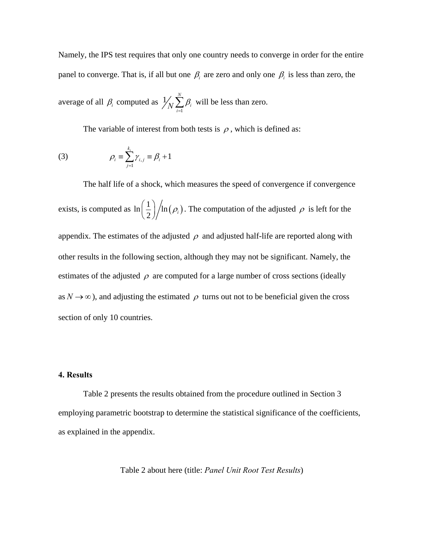Namely, the IPS test requires that only one country needs to converge in order for the entire panel to converge. That is, if all but one  $\beta_i$  are zero and only one  $\beta_i$  is less than zero, the

average of all  $\beta$ <sub>*i*</sub> computed as 1  $1/\sqrt{2}$  $\bigwedge_{i=1}^{\infty} \beta_i$  will be less than zero.

The variable of interest from both tests is  $\rho$ , which is defined as:

(3) 
$$
\rho_i \equiv \sum_{j=1}^{k_i} \gamma_{i,j} \equiv \beta_i + 1
$$

The half life of a shock, which measures the speed of convergence if convergence exists, is computed as  $\ln \left( \frac{1}{2} \right) / \ln (\rho_i)$  $\left(\frac{1}{2}\right)/\ln(\rho_i)$ . The computation of the adjusted  $\rho$  is left for the appendix. The estimates of the adjusted  $\rho$  and adjusted half-life are reported along with other results in the following section, although they may not be significant. Namely, the estimates of the adjusted  $\rho$  are computed for a large number of cross sections (ideally as  $N \rightarrow \infty$ ), and adjusting the estimated  $\rho$  turns out not to be beneficial given the cross section of only 10 countries.

#### **4. Results**

Table 2 presents the results obtained from the procedure outlined in Section 3 employing parametric bootstrap to determine the statistical significance of the coefficients, as explained in the appendix.

Table 2 about here (title: *Panel Unit Root Test Results*)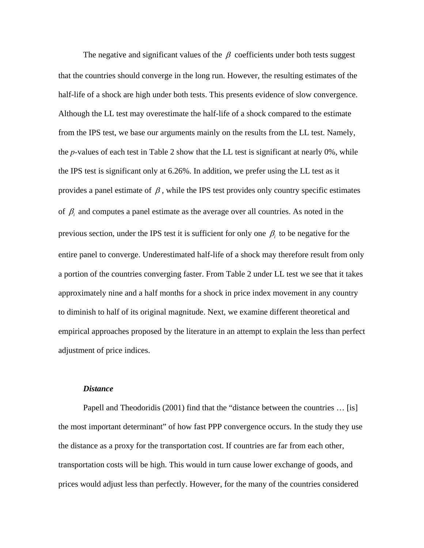The negative and significant values of the  $\beta$  coefficients under both tests suggest that the countries should converge in the long run. However, the resulting estimates of the half-life of a shock are high under both tests. This presents evidence of slow convergence. Although the LL test may overestimate the half-life of a shock compared to the estimate from the IPS test, we base our arguments mainly on the results from the LL test. Namely, the *p-*values of each test in Table 2 show that the LL test is significant at nearly 0%, while the IPS test is significant only at 6.26%. In addition, we prefer using the LL test as it provides a panel estimate of  $\beta$ , while the IPS test provides only country specific estimates of  $\beta$ <sub>*i*</sub> and computes a panel estimate as the average over all countries. As noted in the previous section, under the IPS test it is sufficient for only one  $\beta$ <sub>*i*</sub> to be negative for the entire panel to converge. Underestimated half-life of a shock may therefore result from only a portion of the countries converging faster. From Table 2 under LL test we see that it takes approximately nine and a half months for a shock in price index movement in any country to diminish to half of its original magnitude. Next, we examine different theoretical and empirical approaches proposed by the literature in an attempt to explain the less than perfect adjustment of price indices.

#### *Distance*

Papell and Theodoridis (2001) find that the "distance between the countries ... [is] the most important determinant" of how fast PPP convergence occurs. In the study they use the distance as a proxy for the transportation cost. If countries are far from each other, transportation costs will be high. This would in turn cause lower exchange of goods, and prices would adjust less than perfectly. However, for the many of the countries considered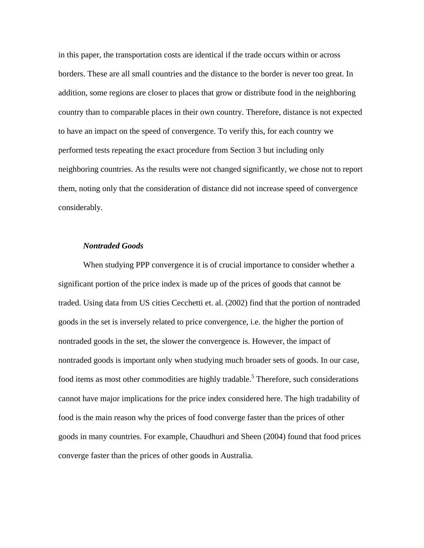in this paper, the transportation costs are identical if the trade occurs within or across borders. These are all small countries and the distance to the border is never too great. In addition, some regions are closer to places that grow or distribute food in the neighboring country than to comparable places in their own country. Therefore, distance is not expected to have an impact on the speed of convergence. To verify this, for each country we performed tests repeating the exact procedure from Section 3 but including only neighboring countries. As the results were not changed significantly, we chose not to report them, noting only that the consideration of distance did not increase speed of convergence considerably.

#### *Nontraded Goods*

When studying PPP convergence it is of crucial importance to consider whether a significant portion of the price index is made up of the prices of goods that cannot be traded. Using data from US cities Cecchetti et. al. (2002) find that the portion of nontraded goods in the set is inversely related to price convergence, i.e. the higher the portion of nontraded goods in the set, the slower the convergence is. However, the impact of nontraded goods is important only when studying much broader sets of goods. In our case, food items as most other commodities are highly tradable.<sup>5</sup> Therefore, such considerations cannot have major implications for the price index considered here. The high tradability of food is the main reason why the prices of food converge faster than the prices of other goods in many countries. For example, Chaudhuri and Sheen (2004) found that food prices converge faster than the prices of other goods in Australia.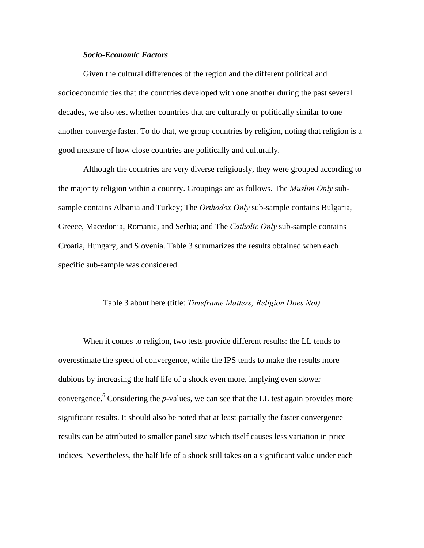#### *Socio-Economic Factors*

Given the cultural differences of the region and the different political and socioeconomic ties that the countries developed with one another during the past several decades, we also test whether countries that are culturally or politically similar to one another converge faster. To do that, we group countries by religion, noting that religion is a good measure of how close countries are politically and culturally.

Although the countries are very diverse religiously, they were grouped according to the majority religion within a country. Groupings are as follows. The *Muslim Only* subsample contains Albania and Turkey; The *Orthodox Only* sub-sample contains Bulgaria, Greece, Macedonia, Romania, and Serbia; and The *Catholic Only* sub-sample contains Croatia, Hungary, and Slovenia. Table 3 summarizes the results obtained when each specific sub-sample was considered.

#### Table 3 about here (title: *Timeframe Matters; Religion Does Not)*

When it comes to religion, two tests provide different results: the LL tends to overestimate the speed of convergence, while the IPS tends to make the results more dubious by increasing the half life of a shock even more, implying even slower convergence.<sup>6</sup> Considering the *p*-values, we can see that the LL test again provides more significant results. It should also be noted that at least partially the faster convergence results can be attributed to smaller panel size which itself causes less variation in price indices. Nevertheless, the half life of a shock still takes on a significant value under each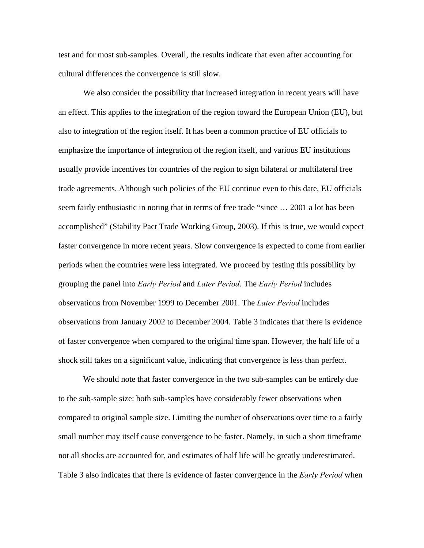test and for most sub-samples. Overall, the results indicate that even after accounting for cultural differences the convergence is still slow.

We also consider the possibility that increased integration in recent years will have an effect. This applies to the integration of the region toward the European Union (EU), but also to integration of the region itself. It has been a common practice of EU officials to emphasize the importance of integration of the region itself, and various EU institutions usually provide incentives for countries of the region to sign bilateral or multilateral free trade agreements. Although such policies of the EU continue even to this date, EU officials seem fairly enthusiastic in noting that in terms of free trade "since … 2001 a lot has been accomplished" (Stability Pact Trade Working Group, 2003). If this is true, we would expect faster convergence in more recent years. Slow convergence is expected to come from earlier periods when the countries were less integrated. We proceed by testing this possibility by grouping the panel into *Early Period* and *Later Period*. The *Early Period* includes observations from November 1999 to December 2001. The *Later Period* includes observations from January 2002 to December 2004. Table 3 indicates that there is evidence of faster convergence when compared to the original time span. However, the half life of a shock still takes on a significant value, indicating that convergence is less than perfect.

We should note that faster convergence in the two sub-samples can be entirely due to the sub-sample size: both sub-samples have considerably fewer observations when compared to original sample size. Limiting the number of observations over time to a fairly small number may itself cause convergence to be faster. Namely, in such a short timeframe not all shocks are accounted for, and estimates of half life will be greatly underestimated. Table 3 also indicates that there is evidence of faster convergence in the *Early Period* when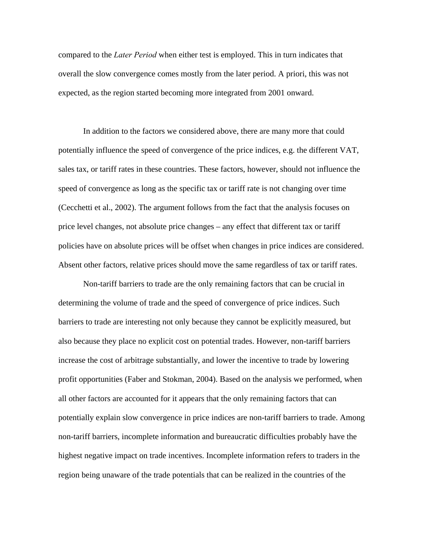compared to the *Later Period* when either test is employed. This in turn indicates that overall the slow convergence comes mostly from the later period. A priori, this was not expected, as the region started becoming more integrated from 2001 onward.

In addition to the factors we considered above, there are many more that could potentially influence the speed of convergence of the price indices, e.g. the different VAT, sales tax, or tariff rates in these countries. These factors, however, should not influence the speed of convergence as long as the specific tax or tariff rate is not changing over time (Cecchetti et al., 2002). The argument follows from the fact that the analysis focuses on price level changes, not absolute price changes – any effect that different tax or tariff policies have on absolute prices will be offset when changes in price indices are considered. Absent other factors, relative prices should move the same regardless of tax or tariff rates.

Non-tariff barriers to trade are the only remaining factors that can be crucial in determining the volume of trade and the speed of convergence of price indices. Such barriers to trade are interesting not only because they cannot be explicitly measured, but also because they place no explicit cost on potential trades. However, non-tariff barriers increase the cost of arbitrage substantially, and lower the incentive to trade by lowering profit opportunities (Faber and Stokman, 2004). Based on the analysis we performed, when all other factors are accounted for it appears that the only remaining factors that can potentially explain slow convergence in price indices are non-tariff barriers to trade. Among non-tariff barriers, incomplete information and bureaucratic difficulties probably have the highest negative impact on trade incentives. Incomplete information refers to traders in the region being unaware of the trade potentials that can be realized in the countries of the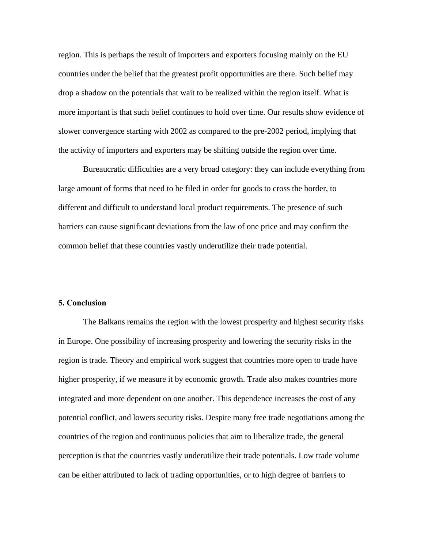region. This is perhaps the result of importers and exporters focusing mainly on the EU countries under the belief that the greatest profit opportunities are there. Such belief may drop a shadow on the potentials that wait to be realized within the region itself. What is more important is that such belief continues to hold over time. Our results show evidence of slower convergence starting with 2002 as compared to the pre-2002 period, implying that the activity of importers and exporters may be shifting outside the region over time.

Bureaucratic difficulties are a very broad category: they can include everything from large amount of forms that need to be filed in order for goods to cross the border, to different and difficult to understand local product requirements. The presence of such barriers can cause significant deviations from the law of one price and may confirm the common belief that these countries vastly underutilize their trade potential.

#### **5. Conclusion**

The Balkans remains the region with the lowest prosperity and highest security risks in Europe. One possibility of increasing prosperity and lowering the security risks in the region is trade. Theory and empirical work suggest that countries more open to trade have higher prosperity, if we measure it by economic growth. Trade also makes countries more integrated and more dependent on one another. This dependence increases the cost of any potential conflict, and lowers security risks. Despite many free trade negotiations among the countries of the region and continuous policies that aim to liberalize trade, the general perception is that the countries vastly underutilize their trade potentials. Low trade volume can be either attributed to lack of trading opportunities, or to high degree of barriers to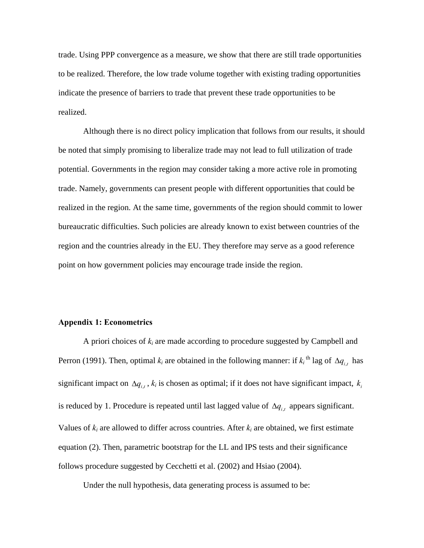trade. Using PPP convergence as a measure, we show that there are still trade opportunities to be realized. Therefore, the low trade volume together with existing trading opportunities indicate the presence of barriers to trade that prevent these trade opportunities to be realized.

Although there is no direct policy implication that follows from our results, it should be noted that simply promising to liberalize trade may not lead to full utilization of trade potential. Governments in the region may consider taking a more active role in promoting trade. Namely, governments can present people with different opportunities that could be realized in the region. At the same time, governments of the region should commit to lower bureaucratic difficulties. Such policies are already known to exist between countries of the region and the countries already in the EU. They therefore may serve as a good reference point on how government policies may encourage trade inside the region.

#### **Appendix 1: Econometrics**

A priori choices of *ki* are made according to procedure suggested by Campbell and Perron (1991). Then, optimal  $k_i$  are obtained in the following manner: if  $k_i$ <sup>th</sup> lag of  $\Delta q_{i,t}$  has significant impact on  $\Delta q_{i,t}$ ,  $k_i$  is chosen as optimal; if it does not have significant impact,  $k_i$ is reduced by 1. Procedure is repeated until last lagged value of  $\Delta q_{i,t}$  appears significant. Values of  $k_i$  are allowed to differ across countries. After  $k_i$  are obtained, we first estimate equation (2). Then, parametric bootstrap for the LL and IPS tests and their significance follows procedure suggested by Cecchetti et al. (2002) and Hsiao (2004).

Under the null hypothesis, data generating process is assumed to be: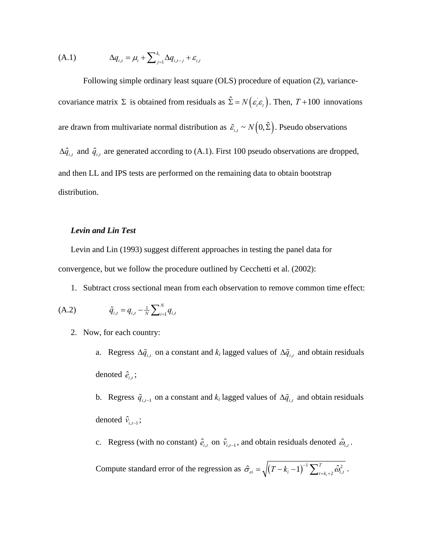$$
(A.1) \qquad \Delta q_{i,t} = \mu_i + \sum\nolimits_{j=1}^{k_i} \Delta q_{i,t-j} + \varepsilon_{i,t}
$$

Following simple ordinary least square (OLS) procedure of equation (2), variancecovariance matrix  $\Sigma$  is obtained from residuals as  $\hat{\Sigma} = N(\varepsilon_i \varepsilon_t)$ . Then,  $T + 100$  innovations are drawn from multivariate normal distribution as  $\tilde{\varepsilon}_{i,t} \sim N(0,\hat{\Sigma})$ . Pseudo observations  $\Delta \hat{q}_{i,t}$  and  $\hat{q}_{i,t}$  are generated according to (A.1). First 100 pseudo observations are dropped, and then LL and IPS tests are performed on the remaining data to obtain bootstrap distribution.

#### *Levin and Lin Test*

Levin and Lin (1993) suggest different approaches in testing the panel data for convergence, but we follow the procedure outlined by Cecchetti et al. (2002):

1. Subtract cross sectional mean from each observation to remove common time effect:

(A.2) 
$$
\tilde{q}_{i,t} = q_{i,t} - \frac{1}{N} \sum_{i=1}^{N} q_{i,t}
$$

- 2. Now, for each country:
	- a. Regress  $\Delta \tilde{q}_{i,t}$  on a constant and  $k_i$  lagged values of  $\Delta \tilde{q}_{i,t}$  and obtain residuals denoted  $\hat{e}_{i,t}$ ;
	- b. Regress  $\tilde{q}_{i,t-1}$  on a constant and  $k_i$  lagged values of  $\Delta \tilde{q}_{i,t}$  and obtain residuals denoted  $\hat{v}_{i,t-1}$ ;
	- c. Regress (with no constant)  $\hat{e}_{i,t}$  on  $\hat{v}_{i,t-1}$ , and obtain residuals denoted  $\hat{\omega}_{i,t}$ .

Compute standard error of the regression as  $\hat{\sigma}_{ei} = \sqrt{(T - k_i - 1)^{-1} \sum_{i = k_i + 2}^{T} \hat{\omega}_{i,i}^2}$  $\hat{\sigma}_{ei} = \sqrt{(T - k_i - 1)^{-1} \sum_{t = k_i + 2}^{T} \hat{\omega}_{i,t}^2}$ .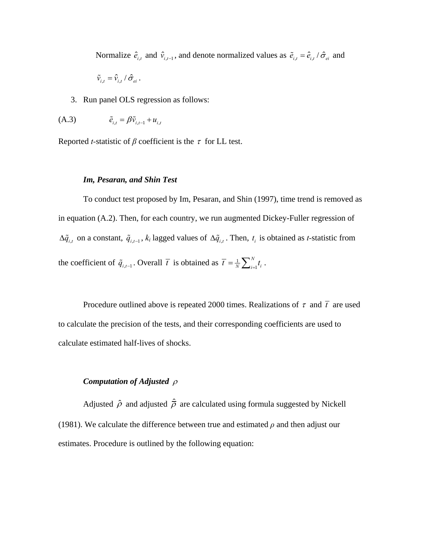Normalize  $\hat{e}_{i,t}$  and  $\hat{v}_{i,t-1}$ , and denote normalized values as  $\tilde{e}_{i,t} = \hat{e}_{i,t} / \hat{\sigma}_{ei}$  and

$$
\tilde{v}_{i,t} = \hat{v}_{i,t} / \hat{\sigma}_{ei}.
$$

3. Run panel OLS regression as follows:

$$
(A.3) \qquad \qquad \tilde{e}_{i,t} = \beta \tilde{v}_{i,t-1} + u_{i,t}
$$

Reported *t*-statistic of  $\beta$  coefficient is the  $\tau$  for LL test.

### *Im, Pesaran, and Shin Test*

To conduct test proposed by Im, Pesaran, and Shin (1997), time trend is removed as in equation (A.2). Then, for each country, we run augmented Dickey-Fuller regression of  $\Delta \tilde{q}_{i,t}$  on a constant,  $\tilde{q}_{i,t-1}$ ,  $k_i$  lagged values of  $\Delta \tilde{q}_{i,t}$ . Then,  $t_i$  is obtained as *t*-statistic from the coefficient of  $\tilde{q}_{i,t-1}$ . Overall  $\bar{t}$  is obtained as  $\bar{t} = \frac{1}{N} \sum_{i=1}^{N}$ *N*  $\overline{t} = \frac{1}{N} \sum_{i=1}^{N} t_i$ .

Procedure outlined above is repeated 2000 times. Realizations of  $\tau$  and  $\bar{t}$  are used to calculate the precision of the tests, and their corresponding coefficients are used to calculate estimated half-lives of shocks.

# *Computation of Adjusted* <sup>ρ</sup>

Adjusted  $\hat{\rho}$  and adjusted  $\hat{\rho}$  are calculated using formula suggested by Nickell (1981). We calculate the difference between true and estimated  $\rho$  and then adjust our estimates. Procedure is outlined by the following equation: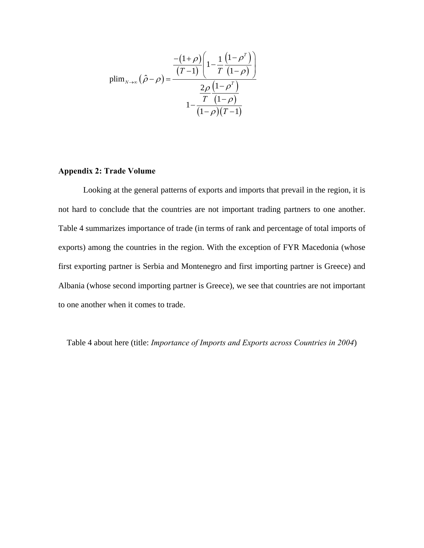$$
\text{plim}_{N \to \infty} \left( \hat{\rho} - \rho \right) = \frac{\frac{-\left(1+\rho\right)\left(1 - \frac{1}{T}\left(1-\rho^{T}\right)\right)}{\left(T-1\right)\left(1-\rho^{T}\right)}}{1 - \frac{2\rho}{\left(1-\rho\right)\left(T-1\right)}}
$$

# **Appendix 2: Trade Volume**

Looking at the general patterns of exports and imports that prevail in the region, it is not hard to conclude that the countries are not important trading partners to one another. Table 4 summarizes importance of trade (in terms of rank and percentage of total imports of exports) among the countries in the region. With the exception of FYR Macedonia (whose first exporting partner is Serbia and Montenegro and first importing partner is Greece) and Albania (whose second importing partner is Greece), we see that countries are not important to one another when it comes to trade.

Table 4 about here (title: *Importance of Imports and Exports across Countries in 2004*)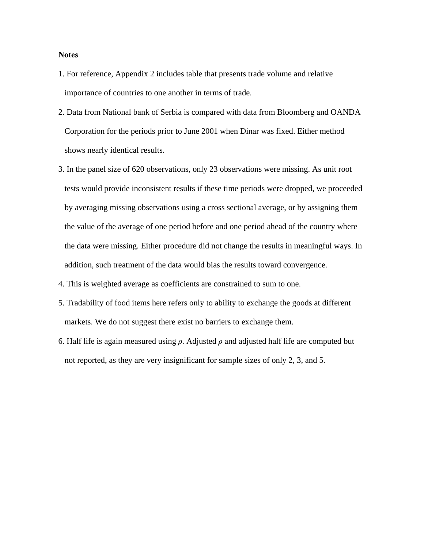#### **Notes**

- 1. For reference, Appendix 2 includes table that presents trade volume and relative importance of countries to one another in terms of trade.
- 2. Data from National bank of Serbia is compared with data from Bloomberg and OANDA Corporation for the periods prior to June 2001 when Dinar was fixed. Either method shows nearly identical results.
- 3. In the panel size of 620 observations, only 23 observations were missing. As unit root tests would provide inconsistent results if these time periods were dropped, we proceeded by averaging missing observations using a cross sectional average, or by assigning them the value of the average of one period before and one period ahead of the country where the data were missing. Either procedure did not change the results in meaningful ways. In addition, such treatment of the data would bias the results toward convergence.

4. This is weighted average as coefficients are constrained to sum to one.

- 5. Tradability of food items here refers only to ability to exchange the goods at different markets. We do not suggest there exist no barriers to exchange them.
- 6. Half life is again measured using *ρ*. Adjusted *ρ* and adjusted half life are computed but not reported, as they are very insignificant for sample sizes of only 2, 3, and 5.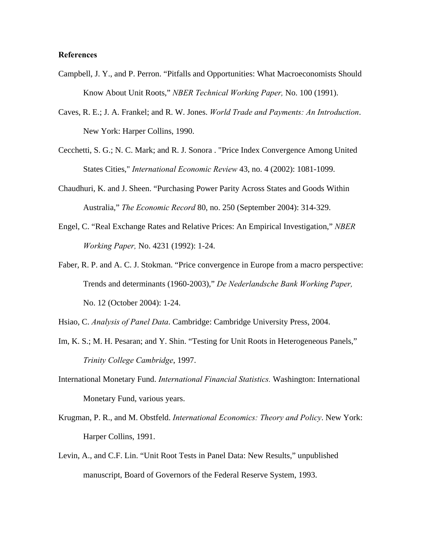#### **References**

- Campbell, J. Y., and P. Perron. "Pitfalls and Opportunities: What Macroeconomists Should Know About Unit Roots," *NBER Technical Working Paper,* No. 100 (1991).
- Caves, R. E.; J. A. Frankel; and R. W. Jones. *World Trade and Payments: An Introduction*. New York: Harper Collins, 1990.
- Cecchetti, S. G.; N. C. Mark; and R. J. Sonora . "Price Index Convergence Among United States Cities," *International Economic Review* 43, no. 4 (2002): 1081-1099.
- Chaudhuri, K. and J. Sheen. "Purchasing Power Parity Across States and Goods Within Australia," *The Economic Record* 80, no. 250 (September 2004): 314-329.
- Engel, C. "Real Exchange Rates and Relative Prices: An Empirical Investigation," *NBER Working Paper,* No. 4231 (1992): 1-24.
- Faber, R. P. and A. C. J. Stokman. "Price convergence in Europe from a macro perspective: Trends and determinants (1960-2003)," *De Nederlandsche Bank Working Paper,*  No. 12 (October 2004): 1-24.
- Hsiao, C. *Analysis of Panel Data*. Cambridge: Cambridge University Press, 2004.
- Im, K. S.; M. H. Pesaran; and Y. Shin. "Testing for Unit Roots in Heterogeneous Panels," *Trinity College Cambridge*, 1997.
- International Monetary Fund. *International Financial Statistics.* Washington: International Monetary Fund, various years.
- Krugman, P. R., and M. Obstfeld. *International Economics: Theory and Policy*. New York: Harper Collins, 1991.
- Levin, A., and C.F. Lin. "Unit Root Tests in Panel Data: New Results," unpublished manuscript, Board of Governors of the Federal Reserve System, 1993.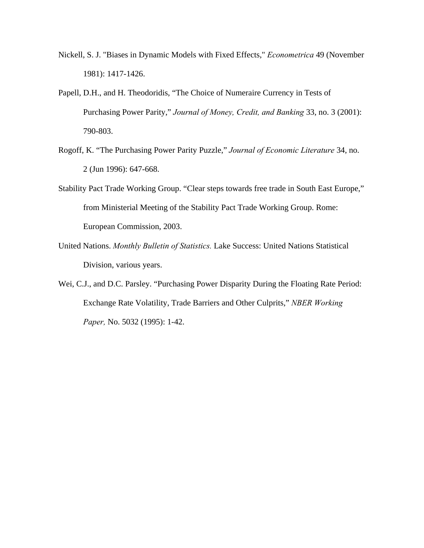- Nickell, S. J. "Biases in Dynamic Models with Fixed Effects," *Econometrica* 49 (November 1981): 1417-1426.
- Papell, D.H., and H. Theodoridis, "The Choice of Numeraire Currency in Tests of Purchasing Power Parity," *Journal of Money, Credit, and Banking* 33, no. 3 (2001): 790-803.
- Rogoff, K. "The Purchasing Power Parity Puzzle," *Journal of Economic Literature* 34, no. 2 (Jun 1996): 647-668.
- Stability Pact Trade Working Group. "Clear steps towards free trade in South East Europe," from Ministerial Meeting of the Stability Pact Trade Working Group. Rome: European Commission, 2003.
- United Nations. *Monthly Bulletin of Statistics.* Lake Success: United Nations Statistical Division, various years.
- Wei, C.J., and D.C. Parsley. "Purchasing Power Disparity During the Floating Rate Period: Exchange Rate Volatility, Trade Barriers and Other Culprits," *NBER Working Paper,* No. 5032 (1995): 1-42.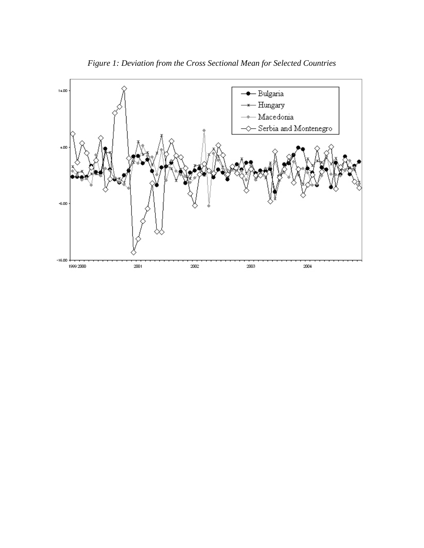

*Figure 1: Deviation from the Cross Sectional Mean for Selected Countries*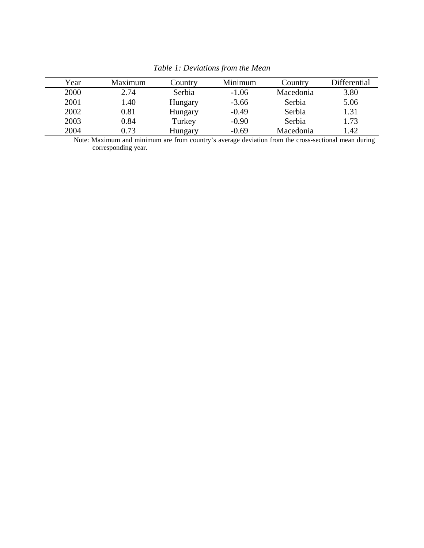| Year | Maximum | Country | Minimum | Country   | Differential |
|------|---------|---------|---------|-----------|--------------|
| 2000 | 2.74    | Serbia  | $-1.06$ | Macedonia | 3.80         |
| 2001 | 1.40    | Hungary | $-3.66$ | Serbia    | 5.06         |
| 2002 | 0.81    | Hungary | $-0.49$ | Serbia    | 1.31         |
| 2003 | 0.84    | Turkey  | $-0.90$ | Serbia    | 1.73         |
| 2004 | 0.73    | Hungary | $-0.69$ | Macedonia | 1.42         |

*Table 1: Deviations from the Mean*

Note: Maximum and minimum are from country's average deviation from the cross-sectional mean during corresponding year.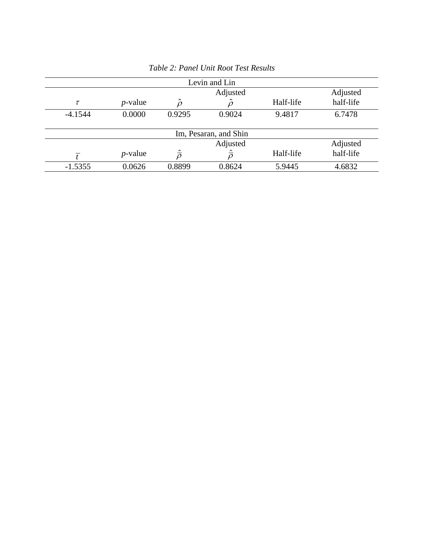| Levin and Lin         |                      |                         |                         |           |           |  |  |  |  |  |  |
|-----------------------|----------------------|-------------------------|-------------------------|-----------|-----------|--|--|--|--|--|--|
|                       |                      |                         | Adjusted                |           |           |  |  |  |  |  |  |
| $\tau$                | $p$ -value           | $\hat{\rho}$            |                         | Half-life | half-life |  |  |  |  |  |  |
| $-4.1544$             | 0.0000               | 0.9295                  | 0.9024                  | 9.4817    | 6.7478    |  |  |  |  |  |  |
|                       |                      |                         |                         |           |           |  |  |  |  |  |  |
| Im, Pesaran, and Shin |                      |                         |                         |           |           |  |  |  |  |  |  |
|                       | Adjusted<br>Adjusted |                         |                         |           |           |  |  |  |  |  |  |
|                       | $p$ -value           | $\hat{\overline{\rho}}$ | $\hat{\overline{\rho}}$ | Half-life | half-life |  |  |  |  |  |  |
| $-1.5355$             | 0.0626               | 0.8899                  | 0.8624                  | 5.9445    | 4.6832    |  |  |  |  |  |  |

*Table 2: Panel Unit Root Test Results*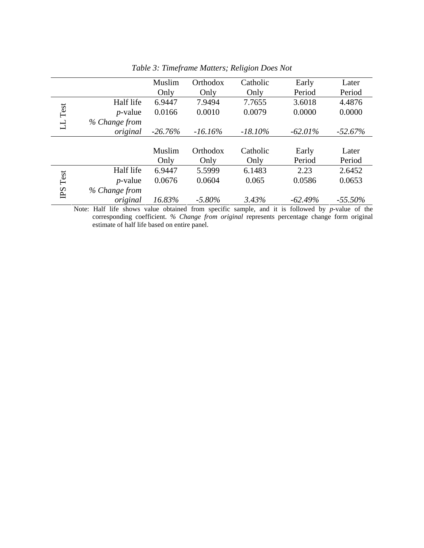|         |               | Muslim     | Orthodox   | Catholic   | Early      | Later      |
|---------|---------------|------------|------------|------------|------------|------------|
|         |               | Only       | Only       | Only       | Period     | Period     |
|         | Half life     | 6.9447     | 7.9494     | 7.7655     | 3.6018     | 4.4876     |
| LL Test | $p$ -value    | 0.0166     | 0.0010     | 0.0079     | 0.0000     | 0.0000     |
|         | % Change from |            |            |            |            |            |
|         | original      | $-26.76\%$ | $-16.16\%$ | $-18.10\%$ | $-62.01\%$ | $-52.67\%$ |
|         |               |            |            |            |            |            |
|         |               | Muslim     | Orthodox   | Catholic   | Early      | Later      |
|         |               | Only       | Only       | Only       | Period     | Period     |
|         | Half life     | 6.9447     | 5.5999     | 6.1483     | 2.23       | 2.6452     |
| Test    | $p$ -value    | 0.0676     | 0.0604     | 0.065      | 0.0586     | 0.0653     |
| PS      | % Change from |            |            |            |            |            |
|         | original      | 16.83%     | $-5.80\%$  | 3.43%      | $-62.49%$  | $-55.50\%$ |

*Table 3: Timeframe Matters; Religion Does Not*

Note: Half life shows value obtained from specific sample, and it is followed by *p*-value of the corresponding coefficient. *% Change from original* represents percentage change form original estimate of half life based on entire panel.